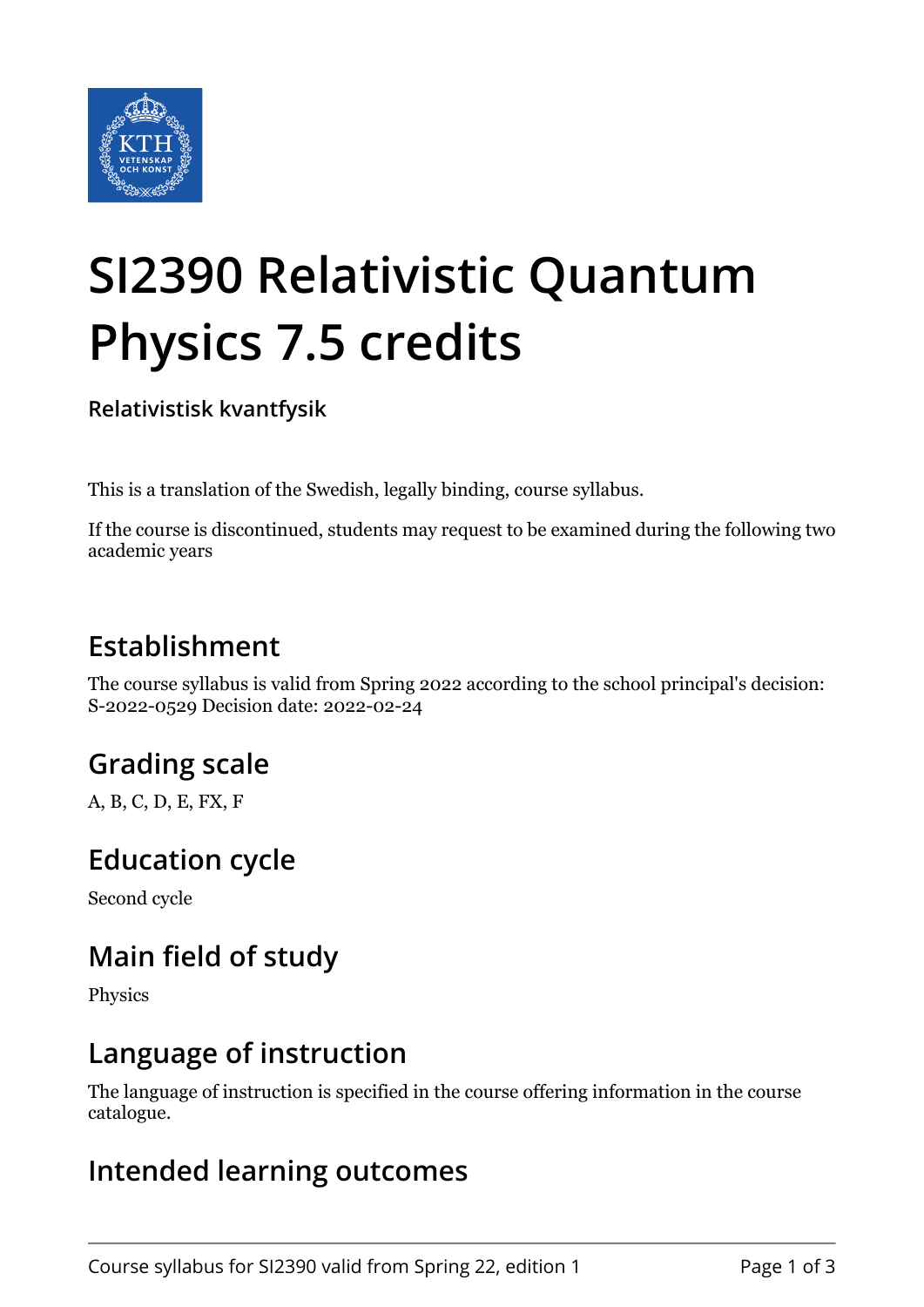

# **SI2390 Relativistic Quantum Physics 7.5 credits**

**Relativistisk kvantfysik**

This is a translation of the Swedish, legally binding, course syllabus.

If the course is discontinued, students may request to be examined during the following two academic years

## **Establishment**

The course syllabus is valid from Spring 2022 according to the school principal's decision: S-2022-0529 Decision date: 2022-02-24

# **Grading scale**

A, B, C, D, E, FX, F

### **Education cycle**

Second cycle

## **Main field of study**

Physics

#### **Language of instruction**

The language of instruction is specified in the course offering information in the course catalogue.

### **Intended learning outcomes**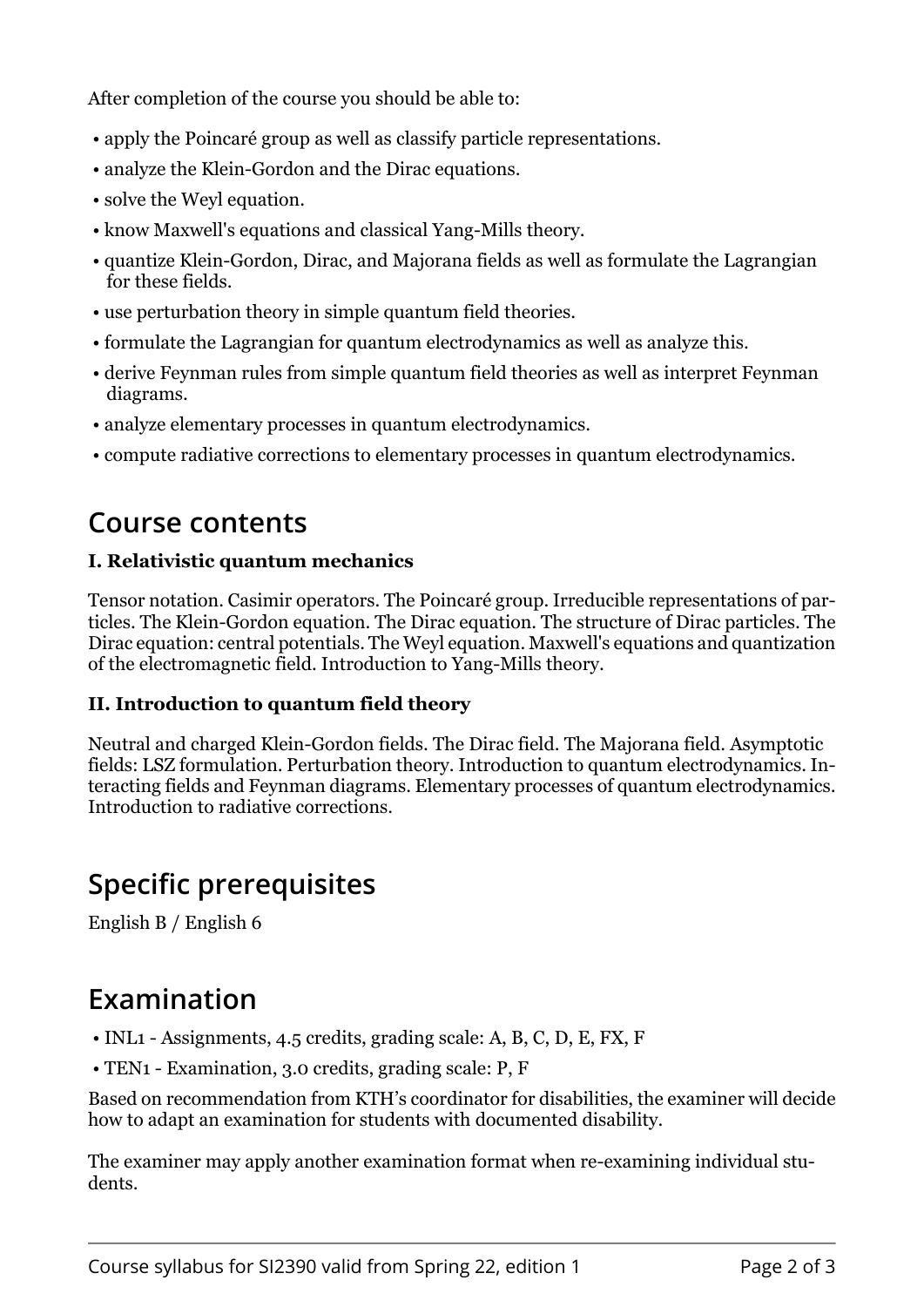After completion of the course you should be able to:

- apply the Poincaré group as well as classify particle representations.
- analyze the Klein-Gordon and the Dirac equations.
- solve the Weyl equation.
- know Maxwell's equations and classical Yang-Mills theory.
- quantize Klein-Gordon, Dirac, and Majorana fields as well as formulate the Lagrangian for these fields.
- use perturbation theory in simple quantum field theories.
- formulate the Lagrangian for quantum electrodynamics as well as analyze this.
- derive Feynman rules from simple quantum field theories as well as interpret Feynman diagrams.
- analyze elementary processes in quantum electrodynamics.
- compute radiative corrections to elementary processes in quantum electrodynamics.

### **Course contents**

#### **I. Relativistic quantum mechanics**

Tensor notation. Casimir operators. The Poincaré group. Irreducible representations of particles. The Klein-Gordon equation. The Dirac equation. The structure of Dirac particles. The Dirac equation: central potentials. The Weyl equation. Maxwell's equations and quantization of the electromagnetic field. Introduction to Yang-Mills theory.

#### **II. Introduction to quantum field theory**

Neutral and charged Klein-Gordon fields. The Dirac field. The Majorana field. Asymptotic fields: LSZ formulation. Perturbation theory. Introduction to quantum electrodynamics. Interacting fields and Feynman diagrams. Elementary processes of quantum electrodynamics. Introduction to radiative corrections.

### **Specific prerequisites**

English B / English 6

### **Examination**

- INL1 Assignments, 4.5 credits, grading scale: A, B, C, D, E, FX, F
- TEN1 Examination, 3.0 credits, grading scale: P, F

Based on recommendation from KTH's coordinator for disabilities, the examiner will decide how to adapt an examination for students with documented disability.

The examiner may apply another examination format when re-examining individual students.